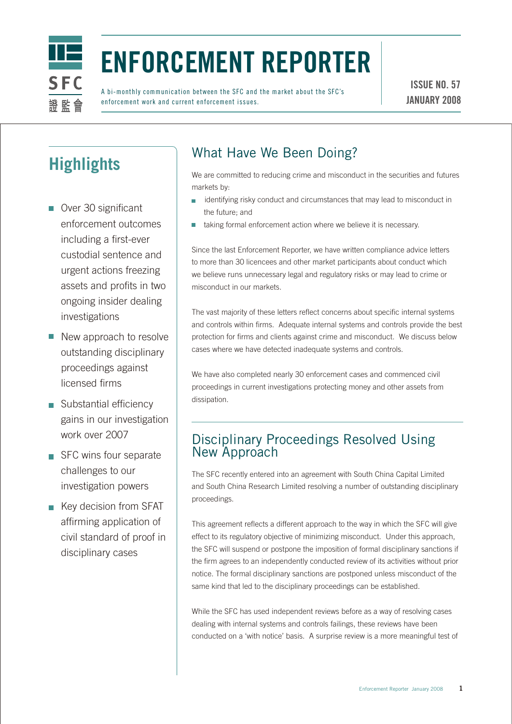

# Enforcement Reporter

A bi-monthly communication between the SFC and the market about the SFC's enforcement work and current enforcement issues.

## **Highlights**

- Over 30 significant enforcement outcomes including a first-ever custodial sentence and urgent actions freezing assets and profits in two ongoing insider dealing investigations
- New approach to resolve outstanding disciplinary proceedings against licensed firms
- Substantial efficiency gains in our investigation work over 2007
- SFC wins four separate challenges to our investigation powers
- $\blacksquare$  Key decision from SFAT affirming application of civil standard of proof in disciplinary cases

### What Have We Been Doing?

We are committed to reducing crime and misconduct in the securities and futures markets by:

- identifying risky conduct and circumstances that may lead to misconduct in  $\overline{\phantom{a}}$ the future; and
- taking formal enforcement action where we believe it is necessary.

Since the last Enforcement Reporter, we have written compliance advice letters to more than 30 licencees and other market participants about conduct which we believe runs unnecessary legal and regulatory risks or may lead to crime or misconduct in our markets.

The vast majority of these letters reflect concerns about specific internal systems and controls within firms. Adequate internal systems and controls provide the best protection for firms and clients against crime and misconduct. We discuss below cases where we have detected inadequate systems and controls.

We have also completed nearly 30 enforcement cases and commenced civil proceedings in current investigations protecting money and other assets from dissipation.

#### Disciplinary Proceedings Resolved Using New Approach

The SFC recently entered into an agreement with South China Capital Limited and South China Research Limited resolving a number of outstanding disciplinary proceedings.

This agreement reflects a different approach to the way in which the SFC will give effect to its regulatory objective of minimizing misconduct. Under this approach, the SFC will suspend or postpone the imposition of formal disciplinary sanctions if the firm agrees to an independently conducted review of its activities without prior notice. The formal disciplinary sanctions are postponed unless misconduct of the same kind that led to the disciplinary proceedings can be established.

While the SFC has used independent reviews before as a way of resolving cases dealing with internal systems and controls failings, these reviews have been conducted on a 'with notice' basis. A surprise review is a more meaningful test of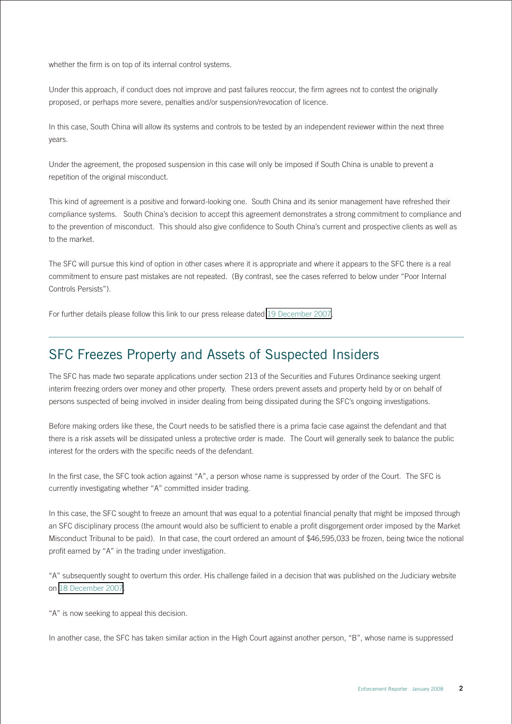whether the firm is on top of its internal control systems.

Under this approach, if conduct does not improve and past failures reoccur, the firm agrees not to contest the originally proposed, or perhaps more severe, penalties and/or suspension/revocation of licence.

In this case, South China will allow its systems and controls to be tested by an independent reviewer within the next three years.

Under the agreement, the proposed suspension in this case will only be imposed if South China is unable to prevent a repetition of the original misconduct.

This kind of agreement is a positive and forward-looking one. South China and its senior management have refreshed their compliance systems. South China's decision to accept this agreement demonstrates a strong commitment to compliance and to the prevention of misconduct. This should also give confidence to South China's current and prospective clients as well as to the market.

The SFC will pursue this kind of option in other cases where it is appropriate and where it appears to the SFC there is a real commitment to ensure past mistakes are not repeated. (By contrast, see the cases referred to below under "Poor Internal Controls Persists").

For further details please follow this link to our press release dated [19 December 2007](http://www.sfc.hk/sfcPressRelease/EN/sfcOpenDocServlet?docno=07PR223).

#### SFC Freezes Property and Assets of Suspected Insiders

The SFC has made two separate applications under section 213 of the Securities and Futures Ordinance seeking urgent interim freezing orders over money and other property. These orders prevent assets and property held by or on behalf of persons suspected of being involved in insider dealing from being dissipated during the SFC's ongoing investigations.

Before making orders like these, the Court needs to be satisfied there is a prima facie case against the defendant and that there is a risk assets will be dissipated unless a protective order is made. The Court will generally seek to balance the public interest for the orders with the specific needs of the defendant.

In the first case, the SFC took action against "A", a person whose name is suppressed by order of the Court. The SFC is currently investigating whether "A" committed insider trading.

In this case, the SFC sought to freeze an amount that was equal to a potential financial penalty that might be imposed through an SFC disciplinary process (the amount would also be sufficient to enable a profit disgorgement order imposed by the Market Misconduct Tribunal to be paid). In that case, the court ordered an amount of \$46,595,033 be frozen, being twice the notional profit earned by "A" in the trading under investigation.

"A" subsequently sought to overturn this order. His challenge failed in a decision that was published on the Judiciary website on [18 December 2007](http://legalref.judiciary.gov.hk/lrs/common/search/search_result_detail_frame.jsp?DIS=59538&QS=%28%7BHCMP1407%2F2007%7D%7C%7BHCMP001407%2F2007%7D+%25caseno%29&TP=JU).

"A" is now seeking to appeal this decision.

In another case, the SFC has taken similar action in the High Court against another person, "B", whose name is suppressed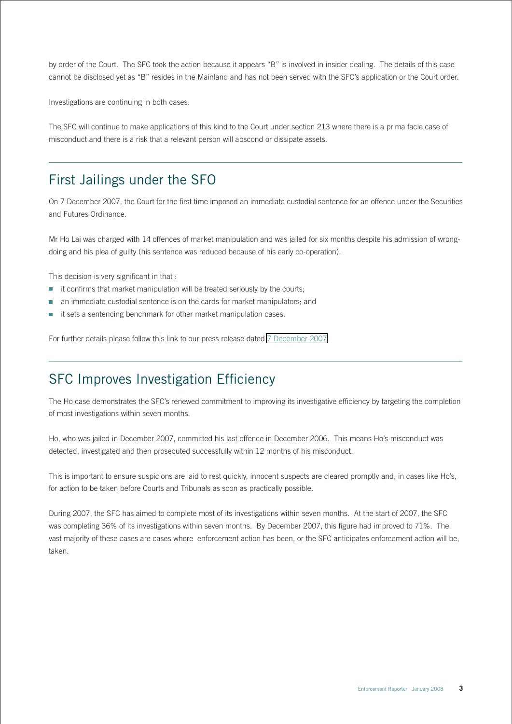by order of the Court. The SFC took the action because it appears "B" is involved in insider dealing. The details of this case cannot be disclosed yet as "B" resides in the Mainland and has not been served with the SFC's application or the Court order.

Investigations are continuing in both cases.

The SFC will continue to make applications of this kind to the Court under section 213 where there is a prima facie case of misconduct and there is a risk that a relevant person will abscond or dissipate assets.

#### First Jailings under the SFO

On 7 December 2007, the Court for the first time imposed an immediate custodial sentence for an offence under the Securities and Futures Ordinance.

Mr Ho Lai was charged with 14 offences of market manipulation and was jailed for six months despite his admission of wrongdoing and his plea of guilty (his sentence was reduced because of his early co-operation).

This decision is very significant in that :

- it confirms that market manipulation will be treated seriously by the courts;
- an immediate custodial sentence is on the cards for market manipulators; and
- it sets a sentencing benchmark for other market manipulation cases. ×

For further details please follow this link to our press release dated [7 December 2007.](http://www.sfc.hk/sfcPressRelease/EN/sfcOpenDocServlet?docno=07PR213)

#### SFC Improves Investigation Efficiency

The Ho case demonstrates the SFC's renewed commitment to improving its investigative efficiency by targeting the completion of most investigations within seven months.

Ho, who was jailed in December 2007, committed his last offence in December 2006. This means Ho's misconduct was detected, investigated and then prosecuted successfully within 12 months of his misconduct.

This is important to ensure suspicions are laid to rest quickly, innocent suspects are cleared promptly and, in cases like Ho's, for action to be taken before Courts and Tribunals as soon as practically possible.

During 2007, the SFC has aimed to complete most of its investigations within seven months. At the start of 2007, the SFC was completing 36% of its investigations within seven months. By December 2007, this figure had improved to 71%. The vast majority of these cases are cases where enforcement action has been, or the SFC anticipates enforcement action will be, taken.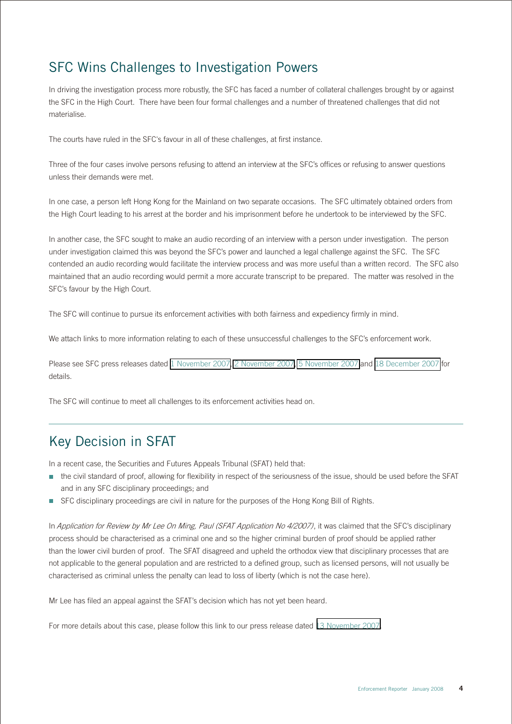#### SFC Wins Challenges to Investigation Powers

In driving the investigation process more robustly, the SFC has faced a number of collateral challenges brought by or against the SFC in the High Court. There have been four formal challenges and a number of threatened challenges that did not materialise.

The courts have ruled in the SFC's favour in all of these challenges, at first instance.

Three of the four cases involve persons refusing to attend an interview at the SFC's offices or refusing to answer questions unless their demands were met.

In one case, a person left Hong Kong for the Mainland on two separate occasions. The SFC ultimately obtained orders from the High Court leading to his arrest at the border and his imprisonment before he undertook to be interviewed by the SFC.

In another case, the SFC sought to make an audio recording of an interview with a person under investigation. The person under investigation claimed this was beyond the SFC's power and launched a legal challenge against the SFC. The SFC contended an audio recording would facilitate the interview process and was more useful than a written record. The SFC also maintained that an audio recording would permit a more accurate transcript to be prepared. The matter was resolved in the SFC's favour by the High Court.

The SFC will continue to pursue its enforcement activities with both fairness and expediency firmly in mind.

We attach links to more information relating to each of these unsuccessful challenges to the SFC's enforcement work.

Please see SFC press releases dated [1 November 2007,](http://www.sfc.hk/sfcPressRelease/EN/sfcOpenDocServlet?docno=07PR178) [2 November 2007](http://www.sfc.hk/sfcPressRelease/EN/sfcOpenDocServlet?docno=07PR180), [5 November 2007](http://www.sfc.hk/sfcPressRelease/EN/sfcOpenDocServlet?docno=07PR183) and [18 December 2007](http://www.sfc.hk/sfcPressRelease/EN/sfcOpenDocServlet?docno=07PR221) for details.

The SFC will continue to meet all challenges to its enforcement activities head on.

#### Key Decision in SFAT

In a recent case, the Securities and Futures Appeals Tribunal (SFAT) held that:

- the civil standard of proof, allowing for flexibility in respect of the seriousness of the issue, should be used before the SFAT and in any SFC disciplinary proceedings; and
- SFC disciplinary proceedings are civil in nature for the purposes of the Hong Kong Bill of Rights.

In Application for Review by Mr Lee On Ming, Paul (SFAT Application No 4/2007), it was claimed that the SFC's disciplinary process should be characterised as a criminal one and so the higher criminal burden of proof should be applied rather than the lower civil burden of proof. The SFAT disagreed and upheld the orthodox view that disciplinary processes that are not applicable to the general population and are restricted to a defined group, such as licensed persons, will not usually be characterised as criminal unless the penalty can lead to loss of liberty (which is not the case here).

Mr Lee has filed an appeal against the SFAT's decision which has not yet been heard.

For more details about this case, please follow this link to our press release dated [13 November 2007.](http://www.sfc.hk/sfcPressRelease/EN/sfcOpenDocServlet?docno=07PR194)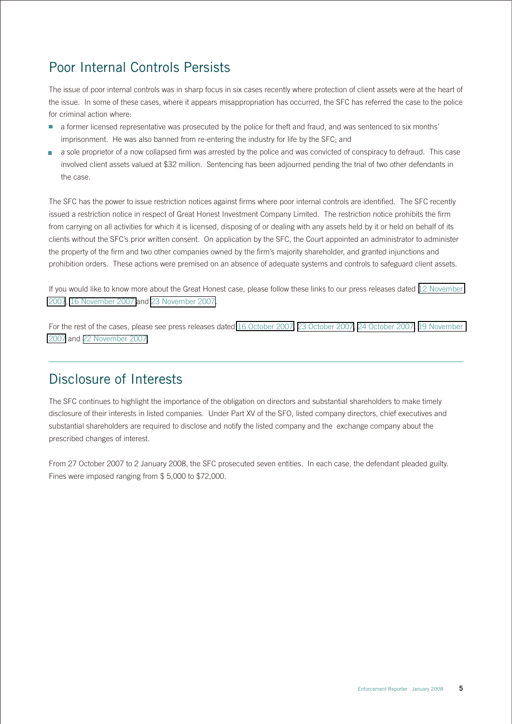#### Poor Internal Controls Persists

The issue of poor internal controls was in sharp focus in six cases recently where protection of client assets were at the heart of the issue. In some of these cases, where it appears misappropriation has occurred, the SFC has referred the case to the police for criminal action where:

- a former licensed representative was prosecuted by the police for theft and fraud, and was sentenced to six months' imprisonment. He was also banned from re-entering the industry for life by the SFC; and
- a sole proprietor of a now collapsed firm was arrested by the police and was convicted of conspiracy to defraud. This case  $\mathbb{R}^n$ involved client assets valued at \$32 million. Sentencing has been adjourned pending the trial of two other defendants in the case.

The SFC has the power to issue restriction notices against firms where poor internal controls are identified. The SFC recently issued a restriction notice in respect of Great Honest Investment Company Limited. The restriction notice prohibits the firm from carrying on all activities for which it is licensed, disposing of or dealing with any assets held by it or held on behalf of its clients without the SFC's prior written consent. On application by the SFC, the Court appointed an administrator to administer the property of the firm and two other companies owned by the firm's majority shareholder, and granted injunctions and prohibition orders. These actions were premised on an absence of adequate systems and controls to safeguard client assets.

If you would like to know more about the Great Honest case, please follow these links to our press releases dated [12 November](http://www.sfc.hk/sfcPressRelease/EN/sfcOpenDocServlet?docno=07PR193)  [2007](http://www.sfc.hk/sfcPressRelease/EN/sfcOpenDocServlet?docno=07PR193), [16 November 2007](http://www.sfc.hk/sfcPressRelease/EN/sfcOpenDocServlet?docno=07PR197) and [23 November 2007.](http://www.sfc.hk/sfcPressRelease/EN/sfcOpenDocServlet?docno=07PR202)

For the rest of the cases, please see press releases dated [16 October 2007,](http://www.sfc.hk/sfcPressRelease/EN/sfcOpenDocServlet?docno=07PR168) [23 October 2007,](http://www.sfc.hk/sfcPressRelease/EN/sfcOpenDocServlet?docno=07PR170) [24 October 2007,](http://www.sfc.hk/sfcPressRelease/EN/sfcOpenDocServlet?docno=07PR171) [19 November](http://www.sfc.hk/sfcPressRelease/EN/sfcOpenDocServlet?docno=07PR198)  [2007](http://www.sfc.hk/sfcPressRelease/EN/sfcOpenDocServlet?docno=07PR198) and [22 November 2007.](http://www.sfc.hk/sfcPressRelease/EN/sfcOpenDocServlet?docno=07PR201)

#### Disclosure of Interests

The SFC continues to highlight the importance of the obligation on directors and substantial shareholders to make timely disclosure of their interests in listed companies. Under Part XV of the SFO, listed company directors, chief executives and substantial shareholders are required to disclose and notify the listed company and the exchange company about the prescribed changes of interest.

From 27 October 2007 to 2 January 2008, the SFC prosecuted seven entities. In each case, the defendant pleaded guilty. Fines were imposed ranging from \$ 5,000 to \$72,000.